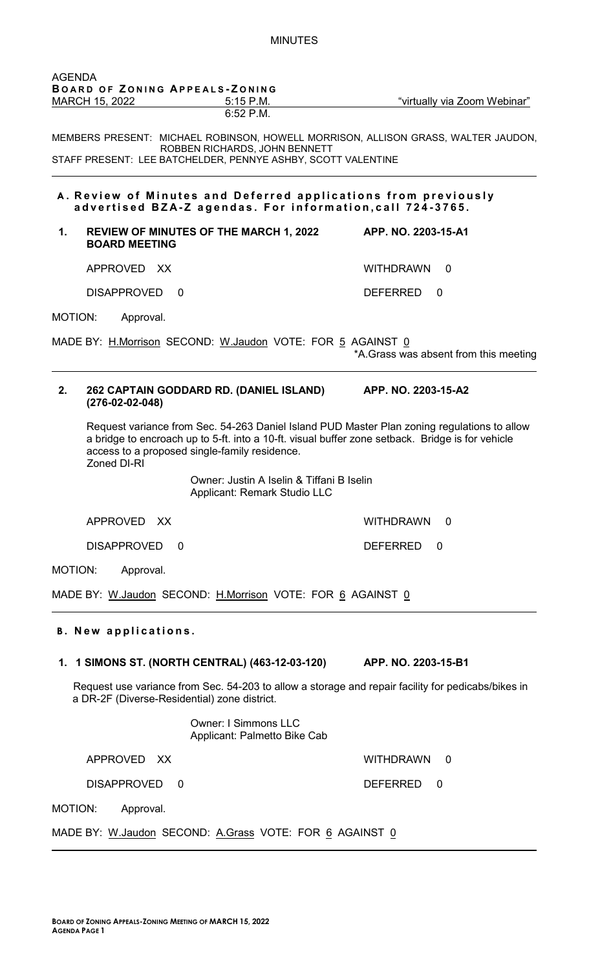| AGENDA                                                                                 | BOARD OF ZONING APPEALS-ZONING                                   |                                                                           |                                                                                                                                                                                                 |
|----------------------------------------------------------------------------------------|------------------------------------------------------------------|---------------------------------------------------------------------------|-------------------------------------------------------------------------------------------------------------------------------------------------------------------------------------------------|
|                                                                                        | MARCH 15, 2022                                                   | $5:15$ P.M.<br>$6:52$ P.M.                                                | "virtually via Zoom Webinar"                                                                                                                                                                    |
|                                                                                        | STAFF PRESENT: LEE BATCHELDER, PENNYE ASHBY, SCOTT VALENTINE     | ROBBEN RICHARDS, JOHN BENNETT                                             | MEMBERS PRESENT: MICHAEL ROBINSON, HOWELL MORRISON, ALLISON GRASS, WALTER JAUDON,                                                                                                               |
|                                                                                        | advertised BZA-Z agendas. For information, call 724-3765.        |                                                                           | A. Review of Minutes and Deferred applications from previously                                                                                                                                  |
| 1.                                                                                     | REVIEW OF MINUTES OF THE MARCH 1, 2022<br><b>BOARD MEETING</b>   |                                                                           | APP. NO. 2203-15-A1                                                                                                                                                                             |
|                                                                                        | APPROVED XX                                                      |                                                                           | WITHDRAWN 0                                                                                                                                                                                     |
|                                                                                        | <b>DISAPPROVED</b><br>$\Omega$                                   |                                                                           | <b>DEFERRED</b><br>$\Omega$                                                                                                                                                                     |
| MOTION:                                                                                | Approval.                                                        |                                                                           |                                                                                                                                                                                                 |
|                                                                                        | MADE BY: H.Morrison SECOND: W.Jaudon VOTE: FOR 5 AGAINST 0       |                                                                           | *A. Grass was absent from this meeting                                                                                                                                                          |
| 2.                                                                                     | 262 CAPTAIN GODDARD RD. (DANIEL ISLAND)<br>$(276-02-02-048)$     |                                                                           | APP. NO. 2203-15-A2                                                                                                                                                                             |
|                                                                                        | access to a proposed single-family residence.<br>Zoned DI-RI     |                                                                           | Request variance from Sec. 54-263 Daniel Island PUD Master Plan zoning regulations to allow<br>a bridge to encroach up to 5-ft. into a 10-ft. visual buffer zone setback. Bridge is for vehicle |
|                                                                                        |                                                                  | Owner: Justin A Iselin & Tiffani B Iselin<br>Applicant: Remark Studio LLC |                                                                                                                                                                                                 |
|                                                                                        | APPROVED XX                                                      |                                                                           | <b>WITHDRAWN</b><br>0                                                                                                                                                                           |
|                                                                                        | <b>DISAPPROVED</b><br>$\Omega$                                   |                                                                           | <b>DEFERRED</b><br>0                                                                                                                                                                            |
| MOTION:                                                                                | Approval.                                                        |                                                                           |                                                                                                                                                                                                 |
| MADE BY: <u>W.Jaudon</u> SECOND: <u>H.Morrison</u> VOTE: FOR <u>6</u> AGAINST <u>0</u> |                                                                  |                                                                           |                                                                                                                                                                                                 |
|                                                                                        | <b>B.</b> New applications.                                      |                                                                           |                                                                                                                                                                                                 |
| 1.                                                                                     | 1 SIMONS ST. (NORTH CENTRAL) (463-12-03-120) APP. NO. 2203-15-B1 |                                                                           |                                                                                                                                                                                                 |
|                                                                                        | a DR-2F (Diverse-Residential) zone district.                     |                                                                           | Request use variance from Sec. 54-203 to allow a storage and repair facility for pedicabs/bikes in                                                                                              |
|                                                                                        |                                                                  | <b>Owner: I Simmons LLC</b><br>Applicant: Palmetto Bike Cab               |                                                                                                                                                                                                 |
|                                                                                        | APPROVED XX                                                      |                                                                           | <b>WITHDRAWN</b><br>0                                                                                                                                                                           |
|                                                                                        | <b>DISAPPROVED</b><br>$\Omega$                                   |                                                                           | <b>DEFERRED</b><br>0                                                                                                                                                                            |
| MOTION:                                                                                | Approval.                                                        |                                                                           |                                                                                                                                                                                                 |
|                                                                                        | MADE BY: W.Jaudon SECOND: A.Grass VOTE: FOR 6 AGAINST 0          |                                                                           |                                                                                                                                                                                                 |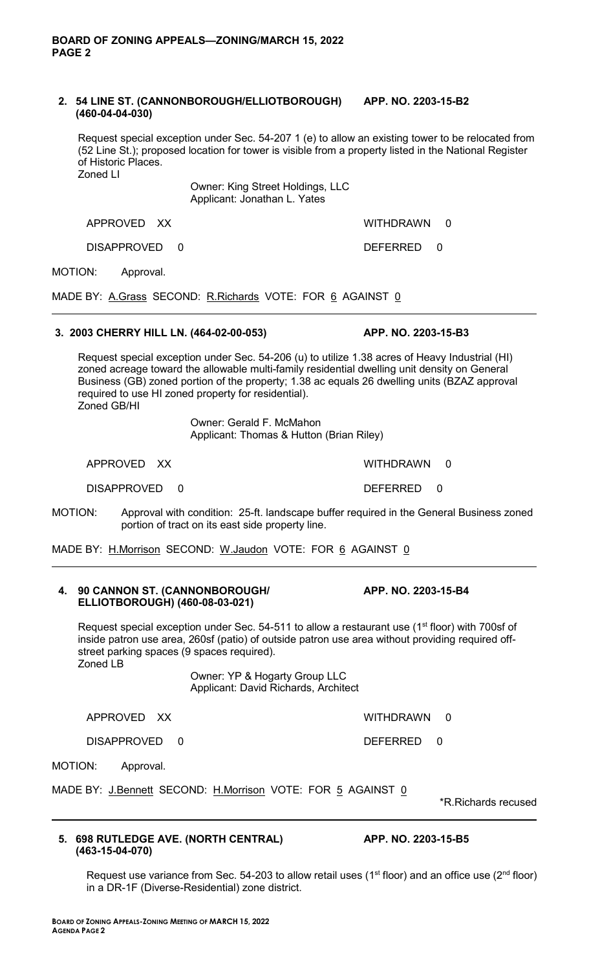## **2. 54 LINE ST. (CANNONBOROUGH/ELLIOTBOROUGH) APP. NO. 2203-15-B2 (460-04-04-030)**

Request special exception under Sec. 54-207 1 (e) to allow an existing tower to be relocated from (52 Line St.); proposed location for tower is visible from a property listed in the National Register of Historic Places. Zoned LI

> Owner: King Street Holdings, LLC Applicant: Jonathan L. Yates

APPROVED XX WITHDRAWN 0

DISAPPROVED 0 DEFERRED 0

MOTION: Approval.

MADE BY: A.Grass SECOND: R.Richards VOTE: FOR 6 AGAINST 0

# **3. 2003 CHERRY HILL LN. (464-02-00-053) APP. NO. 2203-15-B3**

Request special exception under Sec. 54-206 (u) to utilize 1.38 acres of Heavy Industrial (HI) zoned acreage toward the allowable multi-family residential dwelling unit density on General Business (GB) zoned portion of the property; 1.38 ac equals 26 dwelling units (BZAZ approval required to use HI zoned property for residential). Zoned GB/HI

Owner: Gerald F. McMahon

Applicant: Thomas & Hutton (Brian Riley)

APPROVED XX WITHDRAWN 0

DISAPPROVED 0 DEFERRED 0

MOTION: Approval with condition: 25-ft. landscape buffer required in the General Business zoned portion of tract on its east side property line.

MADE BY: H.Morrison SECOND: W.Jaudon VOTE: FOR 6 AGAINST 0

#### **4. 90 CANNON ST. (CANNONBOROUGH/ APP. NO. 2203-15-B4 ELLIOTBOROUGH) (460-08-03-021)**

Request special exception under Sec.  $54-511$  to allow a restaurant use ( $1<sup>st</sup>$  floor) with 700sf of inside patron use area, 260sf (patio) of outside patron use area without providing required offstreet parking spaces (9 spaces required). Zoned LB

> Owner: YP & Hogarty Group LLC Applicant: David Richards, Architect

DISAPPROVED 0 DEFERRED 0

MOTION: Approval.

MADE BY: J.Bennett SECOND: H.Morrison VOTE: FOR 5 AGAINST 0

\*R.Richards recused

#### **5. 698 RUTLEDGE AVE. (NORTH CENTRAL) APP. NO. 2203-15-B5 (463-15-04-070)**

Request use variance from Sec. 54-203 to allow retail uses (1<sup>st</sup> floor) and an office use (2<sup>nd</sup> floor) in a DR-1F (Diverse-Residential) zone district.

APPROVED XX WITHDRAWN 0